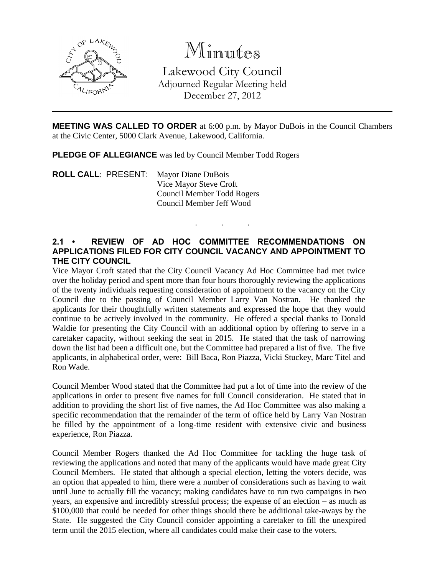

## Minutes

Lakewood City Council Adjourned Regular Meeting held December 27, 2012

**MEETING WAS CALLED TO ORDER** at 6:00 p.m. by Mayor DuBois in the Council Chambers at the Civic Center, 5000 Clark Avenue, Lakewood, California.

. . .

**PLEDGE OF ALLEGIANCE** was led by Council Member Todd Rogers

**ROLL CALL**: PRESENT: Mayor Diane DuBois Vice Mayor Steve Croft Council Member Todd Rogers Council Member Jeff Wood

## **2.1 • REVIEW OF AD HOC COMMITTEE RECOMMENDATIONS ON APPLICATIONS FILED FOR CITY COUNCIL VACANCY AND APPOINTMENT TO THE CITY COUNCIL**

Vice Mayor Croft stated that the City Council Vacancy Ad Hoc Committee had met twice over the holiday period and spent more than four hours thoroughly reviewing the applications of the twenty individuals requesting consideration of appointment to the vacancy on the City Council due to the passing of Council Member Larry Van Nostran. He thanked the applicants for their thoughtfully written statements and expressed the hope that they would continue to be actively involved in the community. He offered a special thanks to Donald Waldie for presenting the City Council with an additional option by offering to serve in a caretaker capacity, without seeking the seat in 2015. He stated that the task of narrowing down the list had been a difficult one, but the Committee had prepared a list of five. The five applicants, in alphabetical order, were: Bill Baca, Ron Piazza, Vicki Stuckey, Marc Titel and Ron Wade.

Council Member Wood stated that the Committee had put a lot of time into the review of the applications in order to present five names for full Council consideration. He stated that in addition to providing the short list of five names, the Ad Hoc Committee was also making a specific recommendation that the remainder of the term of office held by Larry Van Nostran be filled by the appointment of a long-time resident with extensive civic and business experience, Ron Piazza.

Council Member Rogers thanked the Ad Hoc Committee for tackling the huge task of reviewing the applications and noted that many of the applicants would have made great City Council Members. He stated that although a special election, letting the voters decide, was an option that appealed to him, there were a number of considerations such as having to wait until June to actually fill the vacancy; making candidates have to run two campaigns in two years, an expensive and incredibly stressful process; the expense of an election – as much as \$100,000 that could be needed for other things should there be additional take-aways by the State. He suggested the City Council consider appointing a caretaker to fill the unexpired term until the 2015 election, where all candidates could make their case to the voters.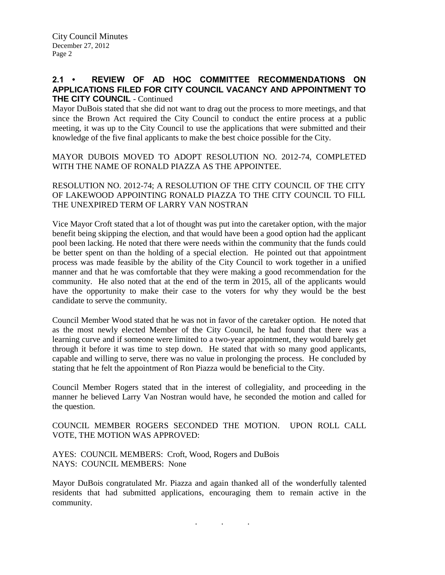## **2.1 • REVIEW OF AD HOC COMMITTEE RECOMMENDATIONS ON APPLICATIONS FILED FOR CITY COUNCIL VACANCY AND APPOINTMENT TO THE CITY COUNCIL** - Continued

Mayor DuBois stated that she did not want to drag out the process to more meetings, and that since the Brown Act required the City Council to conduct the entire process at a public meeting, it was up to the City Council to use the applications that were submitted and their knowledge of the five final applicants to make the best choice possible for the City.

MAYOR DUBOIS MOVED TO ADOPT RESOLUTION NO. 2012-74, COMPLETED WITH THE NAME OF RONALD PIAZZA AS THE APPOINTEE.

RESOLUTION NO. 2012-74; A RESOLUTION OF THE CITY COUNCIL OF THE CITY OF LAKEWOOD APPOINTING RONALD PIAZZA TO THE CITY COUNCIL TO FILL THE UNEXPIRED TERM OF LARRY VAN NOSTRAN

Vice Mayor Croft stated that a lot of thought was put into the caretaker option, with the major benefit being skipping the election, and that would have been a good option had the applicant pool been lacking. He noted that there were needs within the community that the funds could be better spent on than the holding of a special election. He pointed out that appointment process was made feasible by the ability of the City Council to work together in a unified manner and that he was comfortable that they were making a good recommendation for the community. He also noted that at the end of the term in 2015, all of the applicants would have the opportunity to make their case to the voters for why they would be the best candidate to serve the community.

Council Member Wood stated that he was not in favor of the caretaker option. He noted that as the most newly elected Member of the City Council, he had found that there was a learning curve and if someone were limited to a two-year appointment, they would barely get through it before it was time to step down. He stated that with so many good applicants, capable and willing to serve, there was no value in prolonging the process. He concluded by stating that he felt the appointment of Ron Piazza would be beneficial to the City.

Council Member Rogers stated that in the interest of collegiality, and proceeding in the manner he believed Larry Van Nostran would have, he seconded the motion and called for the question.

COUNCIL MEMBER ROGERS SECONDED THE MOTION. UPON ROLL CALL VOTE, THE MOTION WAS APPROVED:

AYES: COUNCIL MEMBERS: Croft, Wood, Rogers and DuBois NAYS: COUNCIL MEMBERS: None

Mayor DuBois congratulated Mr. Piazza and again thanked all of the wonderfully talented residents that had submitted applications, encouraging them to remain active in the community.

. . .